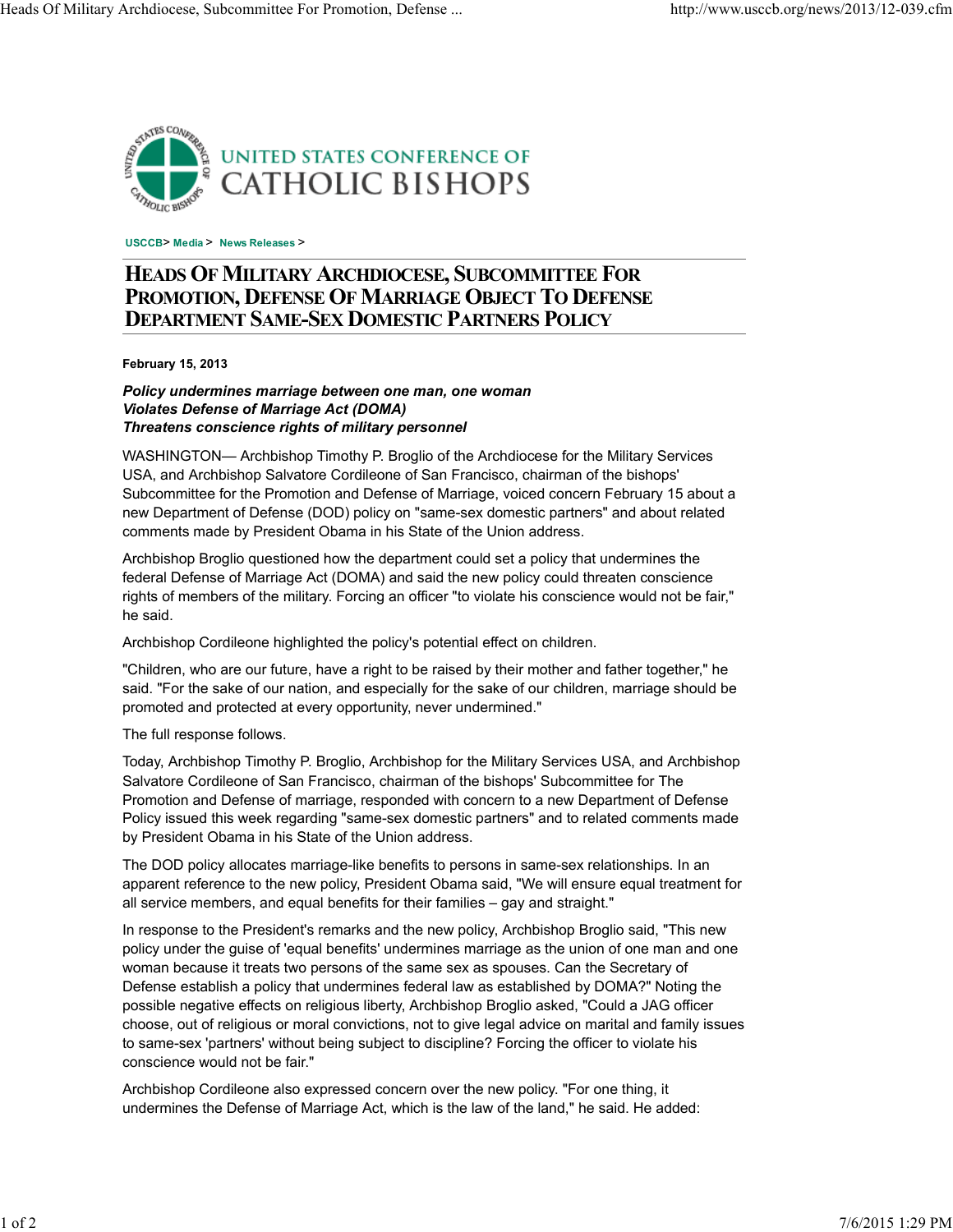

**USCCB**> **Media** > **News Releases** >

## **HEADS OF MILITARY ARCHDIOCESE, SUBCOMMITTEE FOR PROMOTION, DEFENSE OF MARRIAGE OBJECT TO DEFENSE DEPARTMENT SAME-SEX DOMESTIC PARTNERS POLICY**

**February 15, 2013**

## *Policy undermines marriage between one man, one woman Violates Defense of Marriage Act (DOMA) Threatens conscience rights of military personnel*

WASHINGTON— Archbishop Timothy P. Broglio of the Archdiocese for the Military Services USA, and Archbishop Salvatore Cordileone of San Francisco, chairman of the bishops' Subcommittee for the Promotion and Defense of Marriage, voiced concern February 15 about a new Department of Defense (DOD) policy on "same-sex domestic partners" and about related comments made by President Obama in his State of the Union address.

Archbishop Broglio questioned how the department could set a policy that undermines the federal Defense of Marriage Act (DOMA) and said the new policy could threaten conscience rights of members of the military. Forcing an officer "to violate his conscience would not be fair," he said.

Archbishop Cordileone highlighted the policy's potential effect on children.

"Children, who are our future, have a right to be raised by their mother and father together," he said. "For the sake of our nation, and especially for the sake of our children, marriage should be promoted and protected at every opportunity, never undermined."

The full response follows.

Today, Archbishop Timothy P. Broglio, Archbishop for the Military Services USA, and Archbishop Salvatore Cordileone of San Francisco, chairman of the bishops' Subcommittee for The Promotion and Defense of marriage, responded with concern to a new Department of Defense Policy issued this week regarding "same-sex domestic partners" and to related comments made by President Obama in his State of the Union address.

The DOD policy allocates marriage-like benefits to persons in same-sex relationships. In an apparent reference to the new policy, President Obama said, "We will ensure equal treatment for all service members, and equal benefits for their families – gay and straight."

In response to the President's remarks and the new policy, Archbishop Broglio said, "This new policy under the guise of 'equal benefits' undermines marriage as the union of one man and one woman because it treats two persons of the same sex as spouses. Can the Secretary of Defense establish a policy that undermines federal law as established by DOMA?" Noting the possible negative effects on religious liberty, Archbishop Broglio asked, "Could a JAG officer choose, out of religious or moral convictions, not to give legal advice on marital and family issues to same-sex 'partners' without being subject to discipline? Forcing the officer to violate his conscience would not be fair."

Archbishop Cordileone also expressed concern over the new policy. "For one thing, it undermines the Defense of Marriage Act, which is the law of the land," he said. He added: